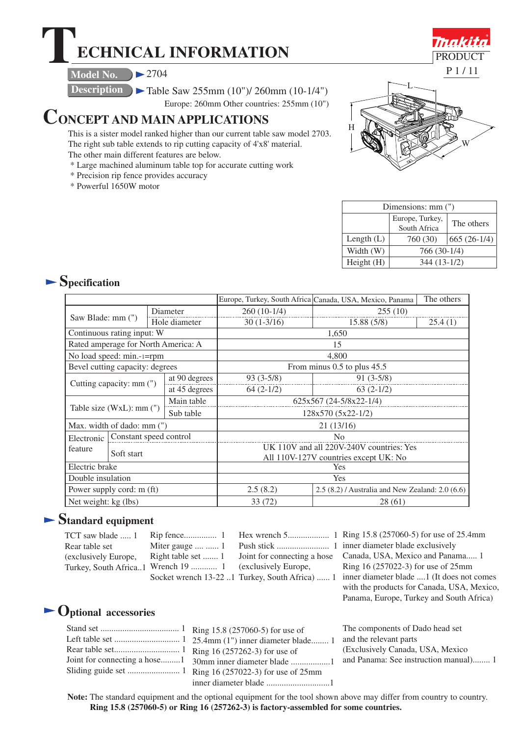# **TECHNICAL INFORMATION**

**Model No.**  $\geq 2704$ 

**Description**  $\blacktriangleright$  Table Saw 255mm (10")/ 260mm (10-1/4")

Europe: 260mm Other countries: 255mm (10")

# **CONCEPT AND MAIN APPLICATIONS**

This is a sister model ranked higher than our current table saw model 2703. The right sub table extends to rip cutting capacity of 4'x8' material.

- The other main different features are below.
- \* Large machined aluminum table top for accurate cutting work
- \* Precision rip fence provides accuracy
- \* Powerful 1650W motor



| Dimensions: mm (") |                                 |               |  |  |
|--------------------|---------------------------------|---------------|--|--|
|                    | Europe, Turkey,<br>South Africa | The others    |  |  |
| Length $(L)$       | 760 (30)                        | $665(26-1/4)$ |  |  |
| Width (W)          | 766 (30-1/4)                    |               |  |  |
| Height(H)          | $344(13-1/2)$                   |               |  |  |

# **Specification**

|                                     |                        |                             | Europe, Turkey, South Africa Canada, USA, Mexico, Panama | The others                               |                |         |
|-------------------------------------|------------------------|-----------------------------|----------------------------------------------------------|------------------------------------------|----------------|---------|
|                                     |                        |                             | Diameter                                                 | $260(10-1/4)$<br>255(10)                 |                |         |
| Saw Blade: mm (")                   |                        | Hole diameter               |                                                          | $30(1-3/16)$                             | 15.88(5/8)     | 25.4(1) |
| Continuous rating input: W          |                        | 1,650                       |                                                          |                                          |                |         |
| Rated amperage for North America: A |                        | 15                          |                                                          |                                          |                |         |
| No load speed: min.-1=rpm           |                        | 4,800                       |                                                          |                                          |                |         |
| Bevel cutting capacity: degrees     |                        | From minus 0.5 to plus 45.5 |                                                          |                                          |                |         |
| Cutting capacity: mm (")            |                        |                             | at 90 degrees                                            | $93(3-5/8)$                              | $91(3-5/8)$    |         |
|                                     |                        |                             | at 45 degrees                                            | $64(2-1/2)$                              | $63(2-1/2)$    |         |
| Table size (WxL): mm (")            |                        |                             | Main table                                               | 625x567 (24-5/8x22-1/4)                  |                |         |
|                                     |                        | Sub table                   | 128x570 (5x22-1/2)                                       |                                          |                |         |
| Max. width of dado: mm (")          |                        | 21(13/16)                   |                                                          |                                          |                |         |
| Electronic                          | Constant speed control |                             |                                                          |                                          | N <sub>0</sub> |         |
| feature                             |                        |                             |                                                          | UK 110V and all 220V-240V countries: Yes |                |         |
|                                     | Soft start             |                             |                                                          | All 110V-127V countries except UK: No    |                |         |
| Electric brake                      |                        | Yes                         |                                                          |                                          |                |         |
| Double insulation                   |                        | Yes                         |                                                          |                                          |                |         |
| Power supply cord: m (ft)           |                        | 2.5(8.2)                    | 2.5 (8.2) / Australia and New Zealand: 2.0 (6.6)         |                                          |                |         |
| Net weight: kg (lbs)                |                        | 33 (72)                     | 28 (61)                                                  |                                          |                |         |

# **Standard equipment**

| TCT saw blade  1     |                                                         | Hex wrench 5           |
|----------------------|---------------------------------------------------------|------------------------|
| Rear table set       | Miter gauge   1                                         | Push stick             |
| (exclusively Europe, | Right table set  1                                      | Joint for connecting a |
|                      | Turkey, South Africa1 Wrench 19  1 (exclusively Europe, |                        |
|                      | Socket wrench 13-22 1 Turkey South Africa               |                        |

Socket wrench 13-22 ..1 Turkey, South Africa) ...... 1 inner diameter blade ....1 (It does not comes Ring 15.8 (257060-5) for use of 25.4mm Hex wrench 5................... 1 inner diameter blade exclusively Push stick ........................ 1 Joint for connecting a hose Canada, USA, Mexico and Panama..... 1 Ring 16 (257022-3) for use of 25mm with the products for Canada, USA, Mexico, Panama, Europe, Turkey and South Africa)

# **Optional accessories**

|  | The co  |
|--|---------|
|  | and the |
|  | (Exclu  |
|  |         |
|  |         |
|  |         |

mponents of Dado head set e relevant parts sively Canada, USA, Mexico anama: See instruction manual)........ 1

**Note:** The standard equipment and the optional equipment for the tool shown above may differ from country to country. **Ring 15.8 (257060-5) or Ring 16 (257262-3) is factory-assembled for some countries.**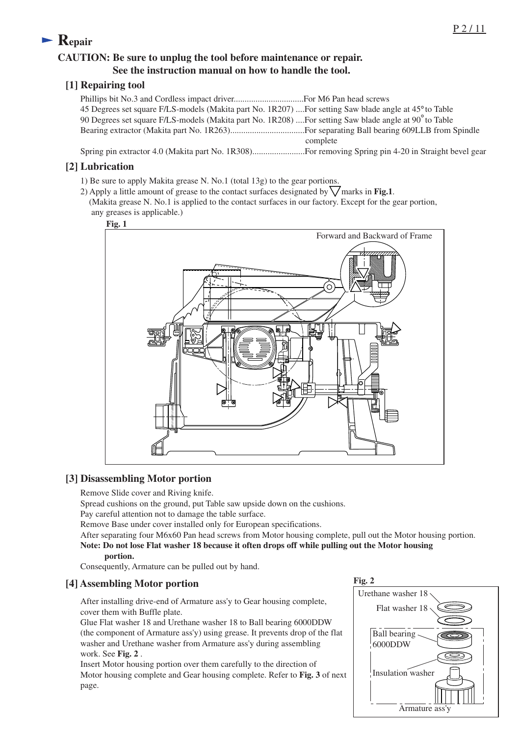# **Repair**

### **CAUTION: Be sure to unplug the tool before maintenance or repair. See the instruction manual on how to handle the tool.**

#### **[1] Repairing tool**

| 45 Degrees set square F/LS-models (Makita part No. 1R207)  For setting Saw blade angle at 45° to Table |          |
|--------------------------------------------------------------------------------------------------------|----------|
| 90 Degrees set square F/LS-models (Makita part No. 1R208)  For setting Saw blade angle at 90° to Table |          |
|                                                                                                        |          |
|                                                                                                        | complete |
|                                                                                                        |          |

#### **[2] Lubrication**

- 1) Be sure to apply Makita grease N. No.1 (total 13g) to the gear portions.
- 2) Apply a little amount of grease to the contact surfaces designated by  $\sqrt{\text{marks in Fig.1}}$ . (Makita grease N. No.1 is applied to the contact surfaces in our factory. Except for the gear portion, any greases is applicable.)



### **[3] Disassembling Motor portion**

Remove Slide cover and Riving knife.

Spread cushions on the ground, put Table saw upside down on the cushions.

Pay careful attention not to damage the table surface.

Remove Base under cover installed only for European specifications.

After separating four M6x60 Pan head screws from Motor housing complete, pull out the Motor housing portion. **Note: Do not lose Flat washer 18 because it often drops off while pulling out the Motor housing**

#### **portion.**

Consequently, Armature can be pulled out by hand.

### **[4] Assembling Motor portion**

After installing drive-end of Armature ass'y to Gear housing complete, cover them with Buffle plate.

Glue Flat washer 18 and Urethane washer 18 to Ball bearing 6000DDW (the component of Armature ass'y) using grease. It prevents drop of the flat washer and Urethane washer from Armature ass'y during assembling work. See **Fig. 2** .

Insert Motor housing portion over them carefully to the direction of Motor housing complete and Gear housing complete. Refer to **Fig. 3** of next page.

**Fig. 2**

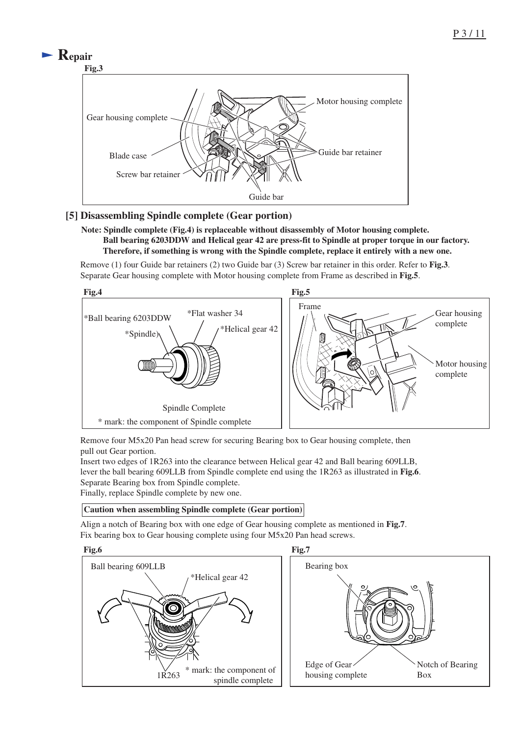

#### **[5] Disassembling Spindle complete (Gear portion)**

#### **Note: Spindle complete (Fig.4) is replaceable without disassembly of Motor housing complete. Ball bearing 6203DDW and Helical gear 42 are press-fit to Spindle at proper torque in our factory. Therefore, if something is wrong with the Spindle complete, replace it entirely with a new one.**

Remove (1) four Guide bar retainers (2) two Guide bar (3) Screw bar retainer in this order. Refer to **Fig.3**. Separate Gear housing complete with Motor housing complete from Frame as described in **Fig.5**.



Remove four M5x20 Pan head screw for securing Bearing box to Gear housing complete, then pull out Gear portion.

Insert two edges of 1R263 into the clearance between Helical gear 42 and Ball bearing 609LLB, lever the ball bearing 609LLB from Spindle complete end using the 1R263 as illustrated in **Fig.6**. Separate Bearing box from Spindle complete. Finally, replace Spindle complete by new one.

#### **Caution when assembling Spindle complete (Gear portion)**

Align a notch of Bearing box with one edge of Gear housing complete as mentioned in **Fig.7**. Fix bearing box to Gear housing complete using four M5x20 Pan head screws.

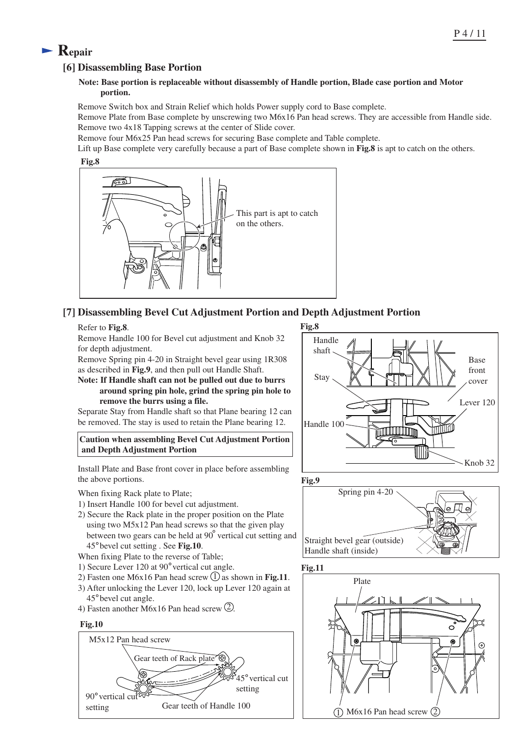#### P 4 / 11

# **Repair**

#### **[6] Disassembling Base Portion**

#### **Note: Base portion is replaceable without disassembly of Handle portion, Blade case portion and Motor portion.**

Remove Switch box and Strain Relief which holds Power supply cord to Base complete.

Remove Plate from Base complete by unscrewing two M6x16 Pan head screws. They are accessible from Handle side. Remove two 4x18 Tapping screws at the center of Slide cover.

Remove four M6x25 Pan head screws for securing Base complete and Table complete.

Lift up Base complete very carefully because a part of Base complete shown in **Fig.8** is apt to catch on the others.





### **[7] Disassembling Bevel Cut Adjustment Portion and Depth Adjustment Portion**

#### Refer to **Fig.8**.

Remove Handle 100 for Bevel cut adjustment and Knob 32 for depth adjustment.

Remove Spring pin 4-20 in Straight bevel gear using 1R308 as described in **Fig.9**, and then pull out Handle Shaft.

#### **Note: If Handle shaft can not be pulled out due to burrs around spring pin hole, grind the spring pin hole to remove the burrs using a file.**

Separate Stay from Handle shaft so that Plane bearing 12 can be removed. The stay is used to retain the Plane bearing 12.

**Caution when assembling Bevel Cut Adjustment Portion and Depth Adjustment Portion** 

Install Plate and Base front cover in place before assembling the above portions.

When fixing Rack plate to Plate:

- 1) Insert Handle 100 for bevel cut adjustment.
- 2) Secure the Rack plate in the proper position on the Plate using two M5x12 Pan head screws so that the given play between two gears can be held at 90° vertical cut setting and 45 bevel cut setting . See **Fig.10**.
- When fixing Plate to the reverse of Table;
- 1) Secure Lever 120 at 90° vertical cut angle.
- 2) Fasten one M6x16 Pan head screw  $\bigcup$  as shown in **Fig.11**.
- 3) After unlocking the Lever 120, lock up Lever 120 again at 45° bevel cut angle.
- 4) Fasten another M6x16 Pan head screw  $(2)$ .

#### **Fig.10**







**Fig.11**

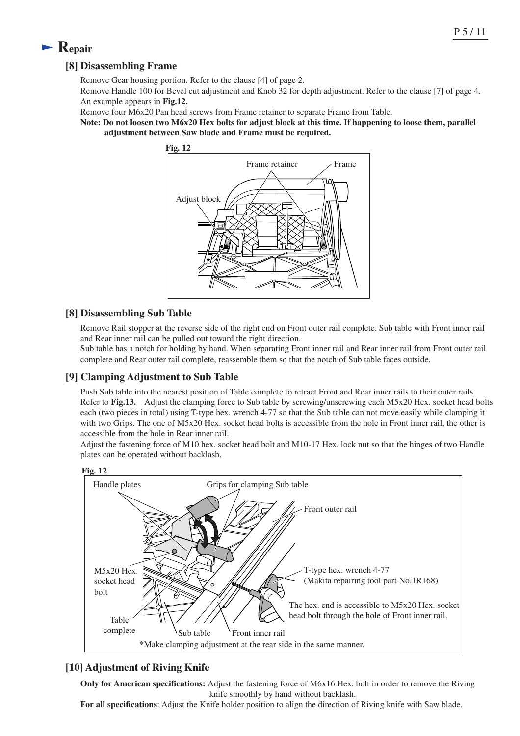# **Repair**

### **[8] Disassembling Frame**

Remove Gear housing portion. Refer to the clause [4] of page 2.

Remove Handle 100 for Bevel cut adjustment and Knob 32 for depth adjustment. Refer to the clause [7] of page 4. An example appears in **Fig.12.**

Remove four M6x20 Pan head screws from Frame retainer to separate Frame from Table.

**Note: Do not loosen two M6x20 Hex bolts for adjust block at this time. If happening to loose them, parallel adjustment between Saw blade and Frame must be required.**



#### **[8] Disassembling Sub Table**

Remove Rail stopper at the reverse side of the right end on Front outer rail complete. Sub table with Front inner rail and Rear inner rail can be pulled out toward the right direction.

Sub table has a notch for holding by hand. When separating Front inner rail and Rear inner rail from Front outer rail complete and Rear outer rail complete, reassemble them so that the notch of Sub table faces outside.

#### **[9] Clamping Adjustment to Sub Table**

Push Sub table into the nearest position of Table complete to retract Front and Rear inner rails to their outer rails. Refer to **Fig.13.** Adjust the clamping force to Sub table by screwing/unscrewing each M5x20 Hex. socket head bolts each (two pieces in total) using T-type hex. wrench 4-77 so that the Sub table can not move easily while clamping it with two Grips. The one of M5x20 Hex. socket head bolts is accessible from the hole in Front inner rail, the other is accessible from the hole in Rear inner rail.

Adjust the fastening force of M10 hex. socket head bolt and M10-17 Hex. lock nut so that the hinges of two Handle plates can be operated without backlash.



### **[10] Adjustment of Riving Knife**

**Only for American specifications:** Adjust the fastening force of M6x16 Hex. bolt in order to remove the Riving knife smoothly by hand without backlash.

**For all specifications**: Adjust the Knife holder position to align the direction of Riving knife with Saw blade.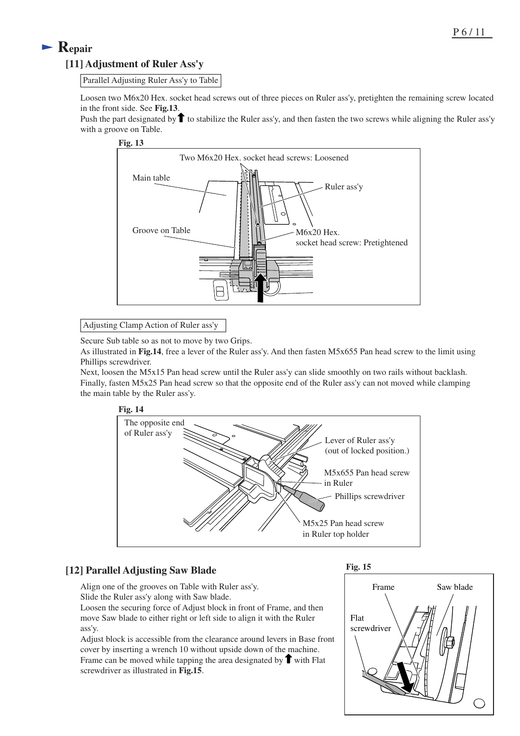# **Repair [11] Adjustment of Ruler Ass'y**

Parallel Adjusting Ruler Ass'y to Table

Loosen two M6x20 Hex. socket head screws out of three pieces on Ruler ass'y, pretighten the remaining screw located in the front side. See **Fig.13**.

Push the part designated by  $\uparrow$  to stabilize the Ruler ass'y, and then fasten the two screws while aligning the Ruler ass'y with a groove on Table.



Adjusting Clamp Action of Ruler ass'y

Secure Sub table so as not to move by two Grips.

As illustrated in **Fig.14**, free a lever of the Ruler ass'y. And then fasten M5x655 Pan head screw to the limit using Phillips screwdriver.

Next, loosen the M5x15 Pan head screw until the Ruler ass'y can slide smoothly on two rails without backlash. Finally, fasten M5x25 Pan head screw so that the opposite end of the Ruler ass'y can not moved while clamping the main table by the Ruler ass'y.



### **[12] Parallel Adjusting Saw Blade**

Align one of the grooves on Table with Ruler ass'y.

Slide the Ruler ass'y along with Saw blade.

Loosen the securing force of Adjust block in front of Frame, and then move Saw blade to either right or left side to align it with the Ruler ass'y.

Adjust block is accessible from the clearance around levers in Base front cover by inserting a wrench 10 without upside down of the machine. Frame can be moved while tapping the area designated by  $\uparrow$  with Flat screwdriver as illustrated in **Fig.15**.



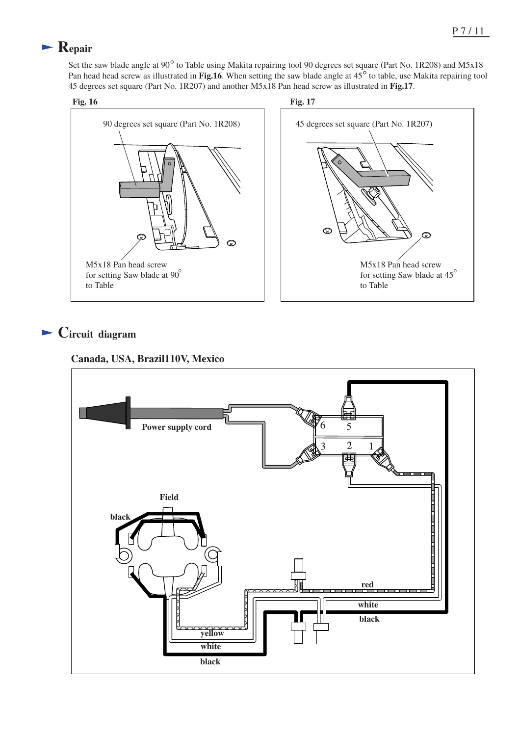# **Repair**

Set the saw blade angle at 90<sup>°</sup> to Table using Makita repairing tool 90 degrees set square (Part No. 1R208) and M5x18 Pan head head screw as illustrated in **Fig.16**. When setting the saw blade angle at  $45^{\circ}$  to table, use Makita repairing tool 45 degrees set square (Part No. 1R207) and another M5x18 Pan head screw as illustrated in **Fig.17**.



# **Circuit diagram**

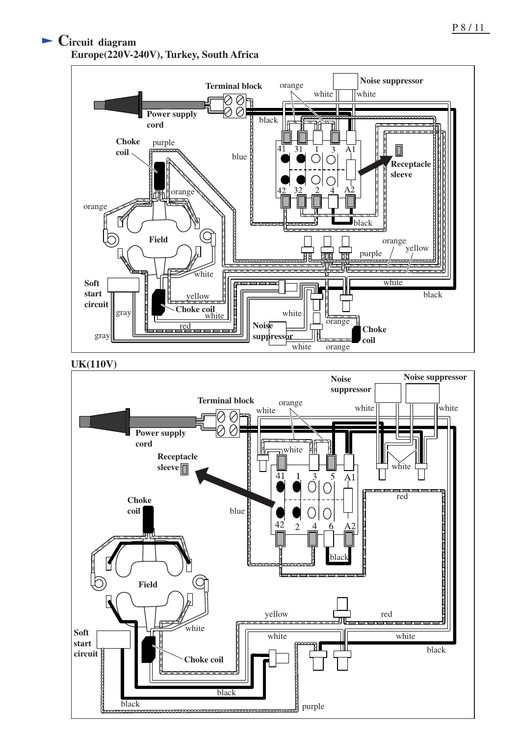# **Circuit diagram Europe(220V-240V), Turkey, South Africa**



**UK(110V)**

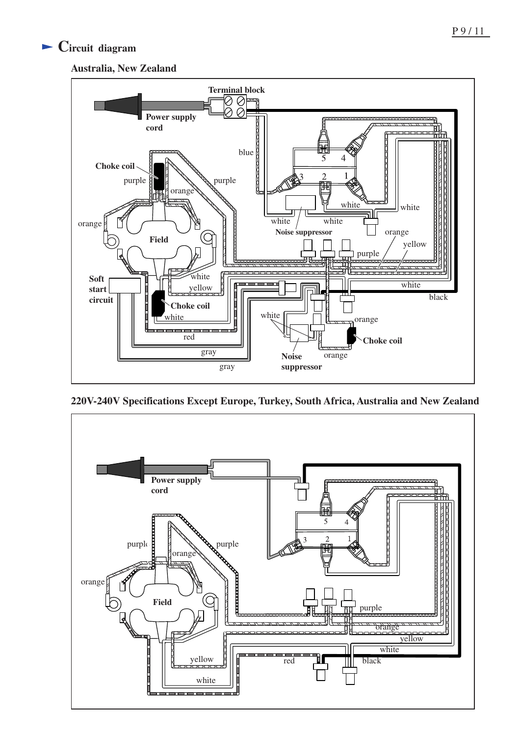# **Circuit diagram**





**220V-240V Specifications Except Europe, Turkey, South Africa, Australia and New Zealand**

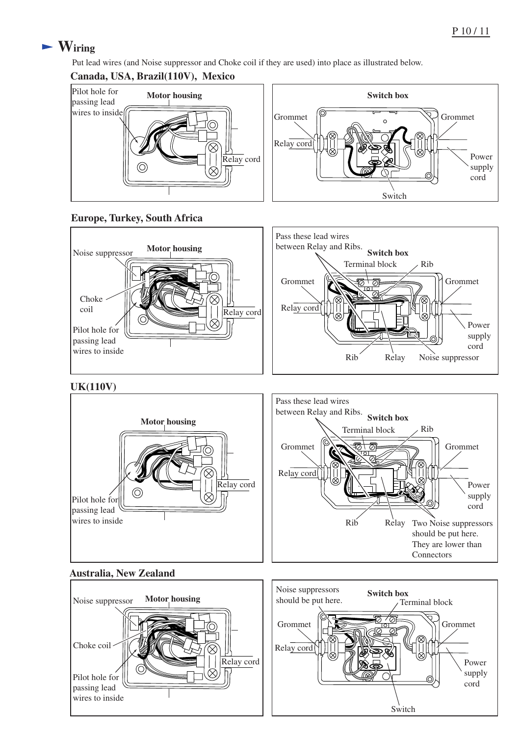# **Wiring**

Put lead wires (and Noise suppressor and Choke coil if they are used) into place as illustrated below.

### **Canada, USA, Brazil(110V), Mexico**







### **UK(110V)**